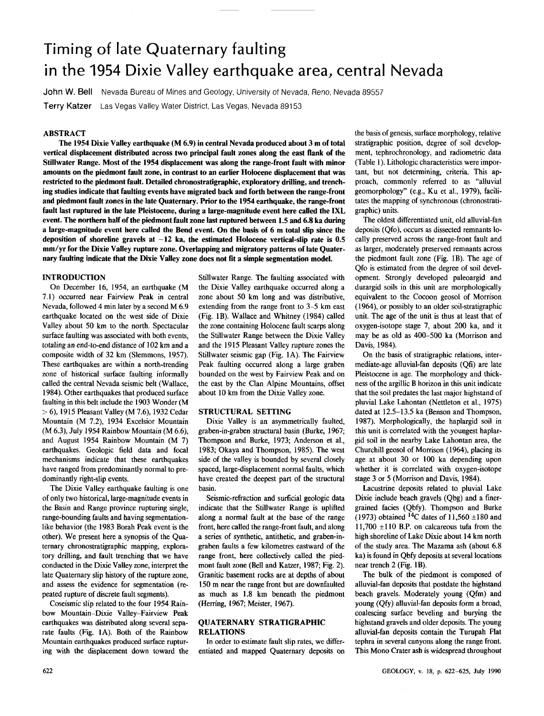# Timing of late Quaternary faulting in the 1954 Dixie Valley earthquake area, central Nevada

**John W. Bell** Nevada Bureau of Mines and Geology, University of Nevada, Reno, Nevada 89557 J

**Terry Katzer** Las Vegas Valley Water District, Las Vegas, Nevada 89153

## **ABSTRACT**

**The 1954 Dixie Valley earthquake (M 6.9) in central Nevada produced about 3 m of total vertical displacement distributed across two principal fault zones along the east flank of the Stillwater Range. Most of the 1954 displacement was along the range-front fault with minor amounts on the piedmont fault zone, in contrast to an earlier Holocene displacement that was restricted to the piedmont fault. Detailed chronostratigraphic, exploratory drilling, and trenching studies indicate that faulting events have migrated back and forth between the range-front and piedmont fault zones in the late Quaternary. Prior to the 1954 earthquake, the range-front fault last ruptured in the late Pleistocene, during a large-magnitude event here called the IXL event. The northern half of the piedmont fault zone last ruptured between 1.5 and 6.8 ka during a large-magnitude event here called the Bend event. On the basis of 6 m total slip since the**  deposition of shoreline gravels at  $\sim$ 12 ka, the estimated Holocene vertical-slip rate is 0.5 **mm/yr for the Dixie Valley rupture zone. Overlapping and migratory patterns of late Quaternary faulting indicate that the Dixie Valley zone does not fit a simple segmentation model.** 

#### **INTRODUCTION**

On December 16, 1954, an earthquake (M 7.1) occurred near Fairview Peak in central Nevada, followed 4 min later by a second M 6.9 earthquake located on the west side of Dixie Valley about 50 km to the north. Spectacular surface faulting was associated with both events, totaling an end-to-end distance of 102 km and a composite width of 32 km (Slemmons, 1957). These earthquakes are within a north-trending zone of historical surface faulting informally called the central Nevada seismic belt (Wallace, 1984). Other earthquakes that produced surface faulting in this belt include the 1903 Wonder (M > 6), 1915 Pleasant Valley (M 7.6), 1932 Cedar Mountain (M 7.2), 1934 Excelsior Mountain (M 6.3), July 1954 Rainbow Mountain (M 6.6), and August 1954 Rainbow Mountain (M 7) earthquakes. Geologic field data and focal mechanisms indicate that these earthquakes have ranged from predominantly normal to predominantly right-slip events.

The Dixie Valley earthquake faulting is one of only two historical, large-magnitude events in the Basin and Range province rupturing single, range-bounding faults and having segmentationlike behavior (the 1983 Borah Peak event is the other). We present here a synopsis of the Quaternary chronostratigraphic mapping, exploratory drilling, and fault trenching that we have conducted in the Dixie Valley zone, interpret the late Quaternary slip history of the rupture zone, and assess the evidence for segmentation (repeated rupture of discrete fault segments).

Coseismic slip related to the four 1954 Rainbow Mountain-Dixie Valley-Fairview Peak earthquakes was distributed along several separate faults (Fig. 1A). Both of the Rainbow Mountain earthquakes produced surface rupturing with the displacement down toward the Stillwater Range. The faulting associated with the Dixie Valley earthquake occurred along a zone about 50 km long and was distributive, extending from the range front to 3-5 km east (Fig. IB). Wallace and Whitney (1984) called the zone containing Holocene fault scarps along the Stillwater Range between the Dixie Valley and the 1915 Pleasant Valley rupture zones the Stillwater seismic gap (Fig. 1A). The Fairview Peak faulting occurred along a large graben bounded on the west by Fairview Peak and on the east by the Clan Alpine Mountains, offset about 10 km from the Dixie Valley zone.

### **STRUCTURAL SETTING**

Dixie Valley is an asymmetrically faulted, graben-in-graben structural basin (Burke, 1967; Thompson and Burke, 1973; Anderson et al., 1983; Okaya and Thompson, 1985). The west side of the valley is bounded by several closely spaced, large-displacement normal faults, which have created the deepest part of the structural basin.

Seismic-refraction and surficial geologic data indicate that the Stillwater Range is uplifted along a normal fault at the base of the range front, here called the range-front fault, and along a series of synthetic, antithetic, and graben-ingraben faults a few kilometres eastward of the range front, here collectively called the piedmont fault zone (Bell and Katzer, 1987; Fig. 2). Granitic basement rocks are at depths of about 150 m near the range front but are downfaulted as much as 1.8 km beneath the piedmont (Herring, 1967; Meister, 1967).

# **QUATERNARY STRATIGRAPHIC RELATIONS**

In order to estimate fault slip rates, we differentiated and mapped Quaternary deposits on

the basis of genesis, surface morphology, relative stratigraphic position, degree of soil development, tephrochronology, and radiometric data (Table 1). Lithologic characteristics were important, but not determining, criteria. This approach, commonly referred to as "alluvial geomorphology" (e.g., Ku et al., 1979), facilitates the mapping of synchronous (chronostratigraphic) units.

The oldest differentiated unit, old alluvial-fan deposits (Qfo), occurs as dissected remnants locally preserved across the range-front fault and as larger, moderately preserved remnants across the piedmont fault zone (Fig. IB). The age of Qfo is estimated from the degree of soil development. Strongly developed paleoargid and durargid soils in this unit are morphologically equivalent to the Cocoon geosol of Morrison (1964), or possibly to an older soil-stratigraphic unit. The age of the unit is thus at least that of oxygen-isotope stage 7, about 200 ka, and it may be as old as 400-500 ka (Morrison and Davis, 1984).

On the basis of stratigraphic relations, intermediate-age alluvial-fan deposits (Qfi) are late Pleistocene in age. The morphology and thickness of the argillic B horizon in this unit indicate that the soil predates the last major highstand of pluvial Lake Lahontan (Nettleton et al., 1975) dated at 12.5-13.5 ka (Benson and Thompson, 1987). Morphologically, the haplargid soil in this unit is correlated with the youngest haplargid soil in the nearby Lake Lahontan area, the Churchill geosol of Morrison (1964), placing its age at about 30 or 100 ka depending upon whether it is correlated with oxygen-isotope stage 3 or 5 (Morrison and Davis, 1984).

Lacustrine deposits related to pluvial Lake Dixie include beach gravels (Qbg) and a finergrained facies (Qbfy). Thompson and Burke (1973) obtained <sup>14</sup>C dates of 11,560  $\pm$ 180 and 11,700  $\pm$ 110 B.P. on calcareous tufa from the high shoreline of Lake Dixie about 14 km north of the study area. The Mazama ash (about 6.8 ka) is found in Qbfy deposits at several locations near trench 2 (Fig. IB).

The bulk of the piedmont is composed of alluvial-fan deposits that postdate the highstand beach gravels. Moderately young (Qfm) and young (Qfy) alluvial-fan deposits form a broad, coalescing surface beveling and burying the highstand gravels and older deposits. The young alluvial-fan deposits contain the Turupah Flat tephra in several canyons along the range front. This Mono Crater ash is widespread throughout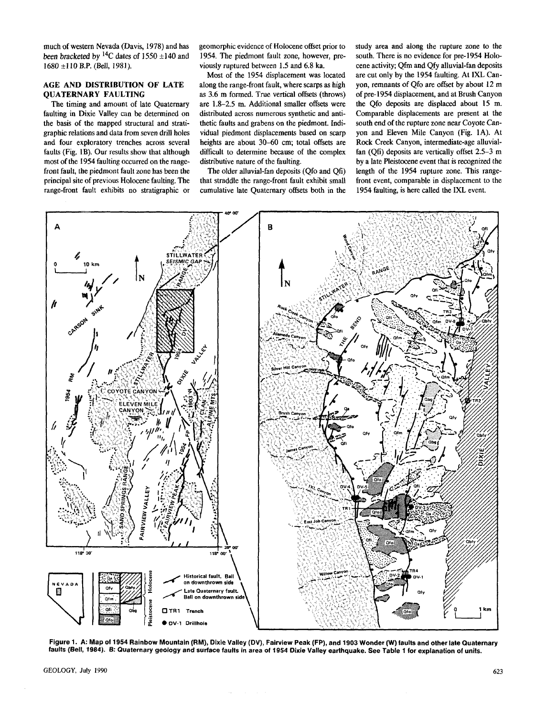much of western Nevada (Davis, 1978) and has *been bracketed* by <sup>14</sup>C dates of 1550 ±140 and 1680 ±110 B.P. (Bell, 1981).

# **AGE AND DISTRIBUTION OF LATE QUATERNARY FAULTING**

The timing and amount of late Quaternary faulting in Dixie Valley can be determined on the basis of the mapped structural and stratigraphic relations and data from seven drill holes and four exploratory trenches across several faults (Fig. IB). Our results show that although most of the 1954 faulting occurred on the rangefront fault, the piedmont fault zone has been the principal site of previous Holocene faulting. The range-front fault exhibits no stratigraphic or

geomorphic evidence of Holocene offset prior to 1954. The piedmont fault zone, however, previously ruptured between 1.5 and 6.8 ka.

Most of the 1954 displacement was located along the range-front fault, where scarps as high as 3.6 m formed. True vertical offsets (throws) are 1.8-2.5 m. Additional smaller offsets were distributed across numerous synthetic and antithetic faults and grabens on the piedmont. Individual piedmont displacements based on scarp heights are about 30-60 cm; total offsets are difficult to determine because of the complex distributive nature of the faulting.

The older alluvial-fan deposits (Qfo and Qfi) that straddle the range-front fault exhibit small cumulative late Quaternary offsets both in the study area and along the rupture zone to the south. There is no evidence for pre-1954 Holocene activity; Qfm and Qfy alluvial-fan deposits are cut only by the 1954 faulting. At IXL Canyon, remnants of Qfo are offset by about 12 m of pre-1954 displacement, and at Brush Canyon the Qfo deposits are displaced about 15 m. Comparable displacements are present at the south end of the rupture zone near Coyote Canyon and Eleven Mile Canyon (Fig. 1A). At Rock Creek Canyon, intermediate-age alluvialfan (Qfi) deposits are vertically offset 2.5-3 m by a late Pleistocene event that is recognized the length of the 1954 rupture zone. This rangefront event, comparable in displacement to the 1954 faulting, is here called the IXL event.



**Figure 1. A: Map of 1954 Rainbow Mountain (RM), Dixie Valley (DV), Fairview Peak (FP), and 1903 Wonder (W) faults and other late Quaternary faults (Bell, 1984). B: Quaternary geology and surface faults in area of 1954 Dixie Valley earthquake. See Table 1 for explanation of units.**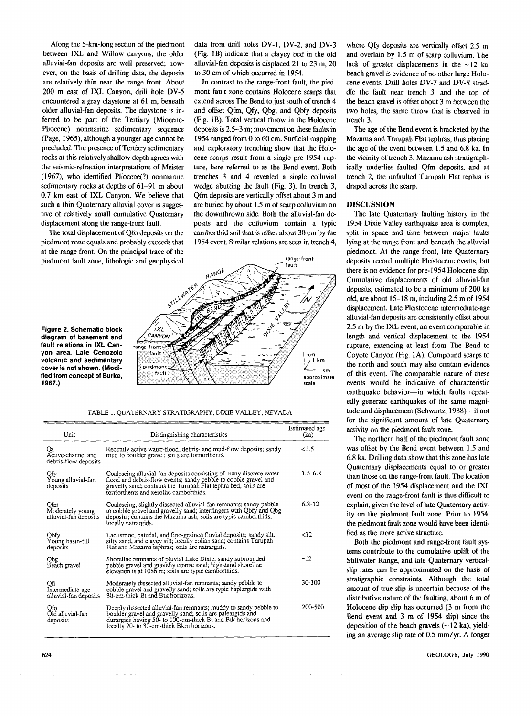Along the 5-km-long section of the piedmont between IXL and Willow canyons, the older alluvial-fan deposits are well preserved; however, on the basis of drilling data, the deposits are relatively thin near the range front. About 200 m east of IXL Canyon, drill hole DV-5 encountered a gray claystone at 61 m, beneath older alluvial-fan deposits. The claystone is inferred to be part of the Tertiary (Miocene-Pliocene) nonmarine sedimentary sequence (Page, 1965), although a younger age cannot be precluded. The presence of Tertiary sedimentary rocks at this relatively shallow depth agrees with the seismic-refraction interpretations of Meister (1967), who identified Pliocene(?) nonmarine sedimentary rocks at depths of 61-91 m about 0.7 km east of IXL Canyon. We believe that such a thin Quaternary alluvial cover is suggestive of relatively small cumulative Quaternary displacement along the range-front fault.

The total displacement of Qfo deposits on the piedmont zone equals and probably exceeds that at the range front. On the principal trace of the piedmont fault zone, lithologic and geophysical data from drill holes DV-1, DV-2, and DV-3 (Fig. IB) indicate that a clayey bed in the old alluvial-fan deposits is displaced 21 to 23 m, 20 to 30 cm of which occurred in 1954.

In contrast to the range-front fault, the piedmont fault zone contains Holocene scarps that extend across The Bend to just south of trench 4 and offset Qfm, Qfy, Qbg, and Qbfy deposits (Fig. IB). Total vertical throw in the Holocene deposits is 2.5-3 m; movement on these faults in 1954 ranged from 0 to 60 cm. Surficial mapping and exploratory trenching show that the Holocene scarps result from a single pre-1954 rupture, here referred to as the Bend event. Both trenches 3 and 4 revealed a single colluvial wedge abutting the fault (Fig. 3). In trench 3, Qfm deposits are vertically offset about 3 m and are buried by about 1.5 m of scarp colluvium on the downthrown side. Both the alluvial-fan deposits and the colluvium contain a typic camborthid soil that is offset about 30 cm by the 1954 event. Similar relations are seen in trench 4,

range-front

щa.

approximate

 $1 km$ 

km  $kr$ 

scale



TABLE 1. QUATERNARY STRATIGRAPHY, DIXIE VALLEY, NEVADA

STILLWATER

ixL CANYON  $range-from$ fault

piedmont

fault

RANGE

| Unit                                             | Distinguishing characteristics                                                                                                                                                                                                                      | Estimated age<br>(ka) |
|--------------------------------------------------|-----------------------------------------------------------------------------------------------------------------------------------------------------------------------------------------------------------------------------------------------------|-----------------------|
| Qa<br>Active-channel and<br>debris-flow deposits | Recently active water-flood, debris- and mud-flow deposits; sandy<br>mud to boulder gravel; soils are torriorthents.                                                                                                                                | < 1.5                 |
| Qfy<br>Young alluvial-fan<br>deposits            | Coalescing alluvial-fan deposits consisting of many discrete water-<br>flood and debris-flow events; sandy pebble to cobble gravel and<br>gravelly sand; contains the Turupah Flat tephra bed; soils are<br>torriorthents and xerollic camborthids. | $1.5 - 6.8$           |
| Ofm<br>Moderately young<br>alluvial-fan deposits | Coalescing, slightly dissected alluvial-fan remnants; sandy pebble<br>to cobble gravel and gravelly sand; interfingers with Qbfy and Qbg<br>deposits; contains the Mazama ash; soils are typic camborthids,<br>locally natrargids.                  | $6.8-12$              |
| Obfy<br>Young basin-fill<br>deposits             | Lacustrine, paludal, and fine-grained fluvial deposits; sandy silt,<br>silty sand, and clayey silt; locally eolian sand; contains Turupah<br>Flat and Mazama tephras; soils are natrargids.                                                         | 212                   |
| Qbg<br>Beach gravel                              | Shoreline remnants of pluvial Lake Dixie; sandy subrounded<br>pebble gravel and gravelly coarse sand; highstand shoreline<br>elevation is at 1086 m; soils are typic camborthids.                                                                   | $-12$                 |
| Qfi<br>Intermediate-age<br>alluvial-fan deposits | Moderately dissected alluvial-fan remnants; sandy pebble to<br>cobble gravel and gravelly sand; soils are typic haplargids with<br>30-cm-thick Bt and Btk horizons.                                                                                 | 30-100                |
| Ofo<br>Old alluvial-fan<br>deposits              | Deeply dissected alluvial-fan remnants; muddy to sandy pebble to<br>boulder gravel and gravelly sand; soils are paleargids and<br>durargids having 50- to 100-cm-thick Bt and Btk horizons and<br>locally 20- to 30-cm-thick Bkm horizons.          | 200-500               |

where Qfy deposits are vertically offset 2.5 m and overlain by 1.5 m of scarp colluvium. The lack of greater displacements in the  $\sim$ 12 ka beach gravel is evidence of no other large Holocene events. Drill holes DV-7 and DV-8 straddle the fault near trench 3, and the top of the beach gravel is offset about 3 m between the two holes, the same throw that is observed in trench 3.

The age of the Bend event is bracketed by the Mazama and Turupah Flat tephras, thus placing the age of the event between 1.5 and 6.8 ka. In the vicinity of trench 3, Mazama ash stratigraphically underlies faulted Qfm deposits, and at trench 2, the unfaulted Turupah Flat tephra is draped across the scarp.

# **DISCUSSION**

The late Quaternary faulting history in the 1954 Dixie Valley earthquake area is complex, split in space and time between major faults lying at the range front and beneath the alluvial piedmont. At the range front, late Quaternary deposits record multiple Pleistocene events, but there is no evidence for pre-1954 Holocene slip. Cumulative displacements of old alluvial-fan deposits, estimated to be a minimum of 200 ka old, are about 15-18 m, including 2.5 m of 1954 displacement. Late Pleistocene intermediate-age alluvial-fan deposits are consistently offset about 2.5 m by the IXL event, an event comparable in length and vertical displacement to the 1954 rupture, extending at least from The Bend to Coyote Canyon (Fig. 1A). Compound scarps to the north and south may also contain evidence of this event. The comparable nature of these events would be indicative of characteristic earthquake behavior—in which faults repeatedly generate earthquakes of the same magnitude and displacement (Schwartz, 1988)—if not for the significant amount of late Quaternary activity on the piedmont fault zone.

The northern half of the piedmont fault zone was offset by the Bend event between 1.5 and 6.8 ka. Drilling data show that this zone has late Quaternary displacements equal to or greater than those on the range-front fault. The location of most of the 1954 displacement and the IXL event on the range-front fault is thus difficult to explain, given the level of late Quaternary activity on the piedmont fault zone. Prior to 1954, the piedmont fault zone would have been identified as the more active structure.

Both the piedmont and range-front fault systems contribute to the cumulative uplift of the Stillwater Range, and late Quaternary verticalslip rates can be approximated on the basis of stratigraphic constraints. Although the total amount of true slip is uncertain because of the distributive nature of the faulting, about 6 m of Holocene dip slip has occurred (3 m from the Bend event and 3 m of 1954 slip) since the deposition of the beach gravels  $(-12 \text{ ka})$ , yielding an average slip rate of 0.5 mm/yr. A longer